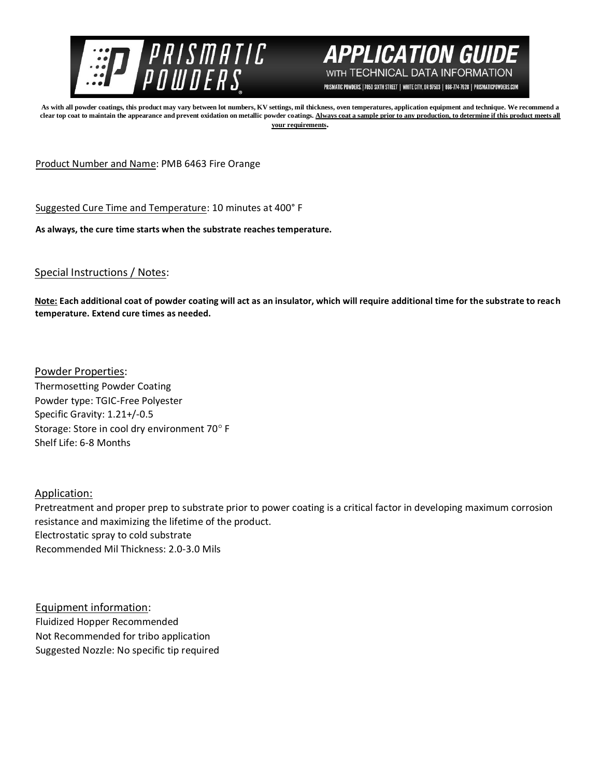



PRISMATIC POWDERS. | 7050 SIXTH STREET | WHITE CITY, OR 97503 | 866-774-7628 | PRISMATICPOWDERS.COM

**As with all powder coatings, this product may vary between lot numbers, KV settings, mil thickness, oven temperatures, application equipment and technique. We recommend a**  clear top coat to maintain the appearance and prevent oxidation on metallic powder coatings. Always coat a sample prior to any production, to determine if this product meets all **your requirements.** 

Product Number and Name: PMB 6463 Fire Orange

Suggested Cure Time and Temperature: 10 minutes at 400° F

**As always, the cure time starts when the substrate reaches temperature.**

## Special Instructions / Notes:

**Note: Each additional coat of powder coating will act as an insulator, which will require additional time for the substrate to reach temperature. Extend cure times as needed.** 

Powder Properties: Thermosetting Powder Coating Powder type: TGIC-Free Polyester Specific Gravity: 1.21+/-0.5 Storage: Store in cool dry environment 70° F Shelf Life: 6-8 Months

Application:

Pretreatment and proper prep to substrate prior to power coating is a critical factor in developing maximum corrosion resistance and maximizing the lifetime of the product. Electrostatic spray to cold substrate Recommended Mil Thickness: 2.0-3.0 Mils

Equipment information: Fluidized Hopper Recommended Not Recommended for tribo application Suggested Nozzle: No specific tip required